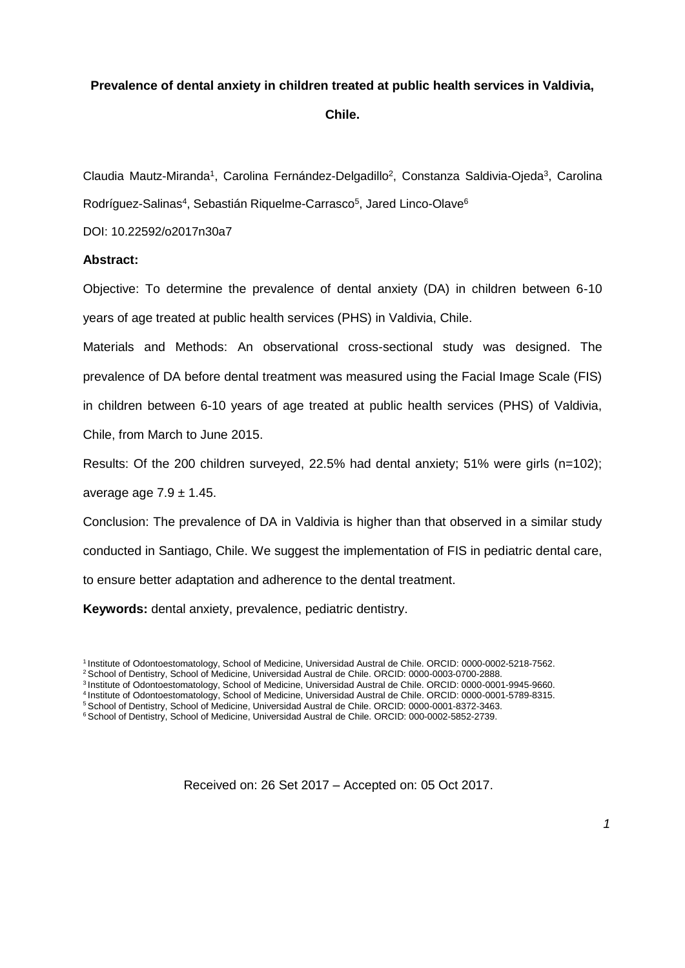# **Prevalence of dental anxiety in children treated at public health services in Valdivia,**

**Chile.**

Claudia Mautz-Miranda<sup>1</sup>, Carolina Fernández-Delgadillo<sup>2</sup>, Constanza Saldivia-Ojeda<sup>3</sup>, Carolina Rodríguez-Salinas<sup>4</sup>, Sebastián Riquelme-Carrasco<sup>5</sup>, Jared Linco-Olave<sup>6</sup>

DOI: 10.22592/o2017n30a7

# **Abstract:**

Objective: To determine the prevalence of dental anxiety (DA) in children between 6-10 years of age treated at public health services (PHS) in Valdivia, Chile.

Materials and Methods: An observational cross-sectional study was designed. The prevalence of DA before dental treatment was measured using the Facial Image Scale (FIS) in children between 6-10 years of age treated at public health services (PHS) of Valdivia, Chile, from March to June 2015.

Results: Of the 200 children surveyed, 22.5% had dental anxiety; 51% were girls (n=102); average age  $7.9 \pm 1.45$ .

Conclusion: The prevalence of DA in Valdivia is higher than that observed in a similar study conducted in Santiago, Chile. We suggest the implementation of FIS in pediatric dental care, to ensure better adaptation and adherence to the dental treatment.

**Keywords:** dental anxiety, prevalence, pediatric dentistry.

<sup>1</sup>Institute of Odontoestomatology, School of Medicine, Universidad Austral de Chile. ORCID: 0000-0002-5218-7562. <sup>2</sup> School of Dentistry, School of Medicine, Universidad Austral de Chile. ORCID: 0000-0003-0700-2888.

<sup>3</sup>Institute of Odontoestomatology, School of Medicine, Universidad Austral de Chile. ORCID: 0000-0001-9945-9660.

<sup>4</sup>Institute of Odontoestomatology, School of Medicine, Universidad Austral de Chile. ORCID: 0000-0001-5789-8315.

<sup>&</sup>lt;sup>5</sup> School of Dentistry, School of Medicine, Universidad Austral de Chile. ORCID: 0000-0001-8372-3463.

<sup>&</sup>lt;sup>6</sup> School of Dentistry, School of Medicine, Universidad Austral de Chile. ORCID: 000-0002-5852-2739.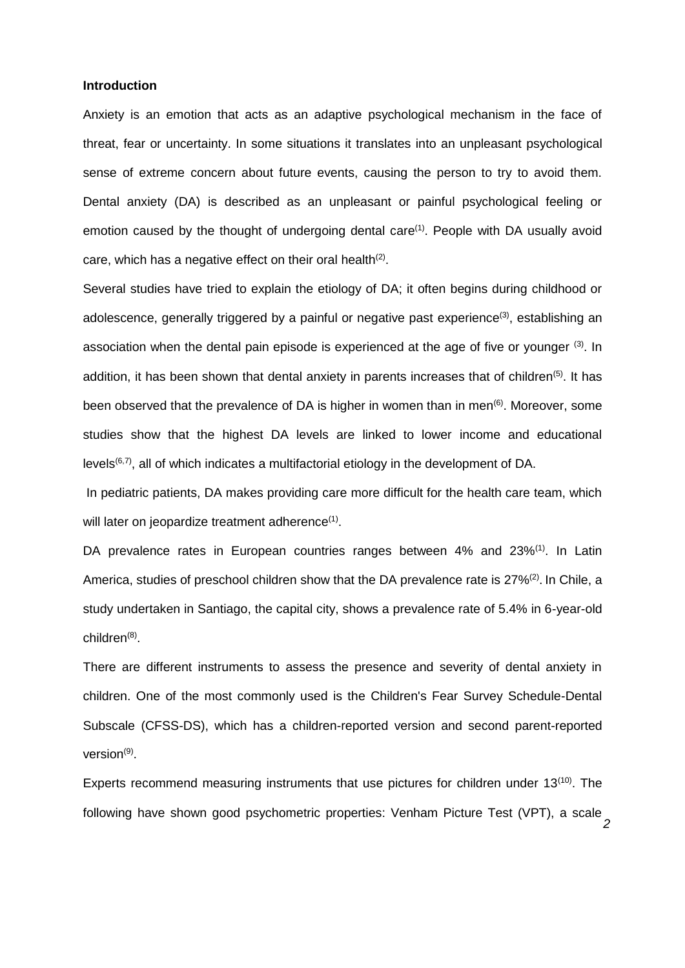#### **Introduction**

Anxiety is an emotion that acts as an adaptive psychological mechanism in the face of threat, fear or uncertainty. In some situations it translates into an unpleasant psychological sense of extreme concern about future events, causing the person to try to avoid them. Dental anxiety (DA) is described as an unpleasant or painful psychological feeling or emotion caused by the thought of undergoing dental care<sup>(1)</sup>. People with DA usually avoid care, which has a negative effect on their oral health<sup>(2)</sup>.

Several studies have tried to explain the etiology of DA; it often begins during childhood or adolescence, generally triggered by a painful or negative past experience<sup>(3)</sup>, establishing an association when the dental pain episode is experienced at the age of five or younger  $(3)$ . In addition, it has been shown that dental anxiety in parents increases that of children<sup>(5)</sup>. It has been observed that the prevalence of DA is higher in women than in men<sup>(6)</sup>. Moreover, some studies show that the highest DA levels are linked to lower income and educational levels<sup> $(6,7)$ </sup>, all of which indicates a multifactorial etiology in the development of DA.

In pediatric patients, DA makes providing care more difficult for the health care team, which will later on jeopardize treatment adherence $(1)$ .

DA prevalence rates in European countries ranges between 4% and 23%<sup>(1)</sup>. In Latin America, studies of preschool children show that the DA prevalence rate is 27%<sup>(2)</sup>. In Chile, a study undertaken in Santiago, the capital city, shows a prevalence rate of 5.4% in 6-year-old children<sup>(8)</sup>.

There are different instruments to assess the presence and severity of dental anxiety in children. One of the most commonly used is the Children's Fear Survey Schedule-Dental Subscale (CFSS-DS), which has a children-reported version and second parent-reported version<sup>(9)</sup>.

Experts recommend measuring instruments that use pictures for children under 13<sup>(10)</sup>. The following have shown good psychometric properties: Venham Picture Test (VPT), a scale

*2*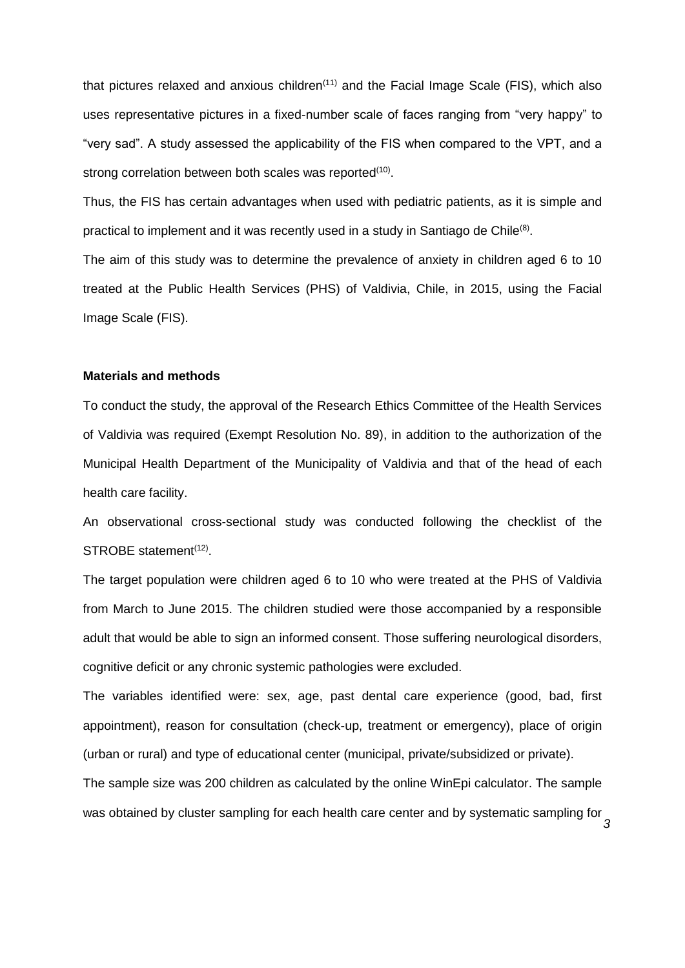that pictures relaxed and anxious children $(11)$  and the Facial Image Scale (FIS), which also uses representative pictures in a fixed-number scale of faces ranging from "very happy" to "very sad". A study assessed the applicability of the FIS when compared to the VPT, and a strong correlation between both scales was reported<sup>(10)</sup>.

Thus, the FIS has certain advantages when used with pediatric patients, as it is simple and practical to implement and it was recently used in a study in Santiago de Chile<sup>(8)</sup>.

The aim of this study was to determine the prevalence of anxiety in children aged 6 to 10 treated at the Public Health Services (PHS) of Valdivia, Chile, in 2015, using the Facial Image Scale (FIS).

### **Materials and methods**

To conduct the study, the approval of the Research Ethics Committee of the Health Services of Valdivia was required (Exempt Resolution No. 89), in addition to the authorization of the Municipal Health Department of the Municipality of Valdivia and that of the head of each health care facility.

An observational cross-sectional study was conducted following the checklist of the STROBE statement<sup>(12)</sup>.

The target population were children aged 6 to 10 who were treated at the PHS of Valdivia from March to June 2015. The children studied were those accompanied by a responsible adult that would be able to sign an informed consent. Those suffering neurological disorders, cognitive deficit or any chronic systemic pathologies were excluded.

The variables identified were: sex, age, past dental care experience (good, bad, first appointment), reason for consultation (check-up, treatment or emergency), place of origin (urban or rural) and type of educational center (municipal, private/subsidized or private).

The sample size was 200 children as calculated by the online WinEpi calculator. The sample was obtained by cluster sampling for each health care center and by systematic sampling for

*3*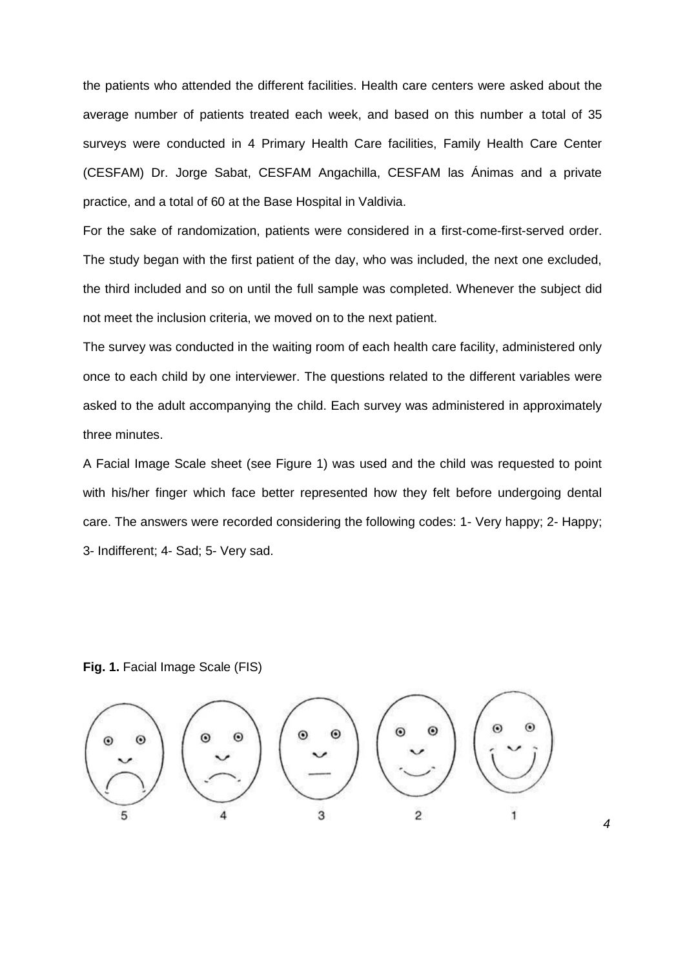the patients who attended the different facilities. Health care centers were asked about the average number of patients treated each week, and based on this number a total of 35 surveys were conducted in 4 Primary Health Care facilities, Family Health Care Center (CESFAM) Dr. Jorge Sabat, CESFAM Angachilla, CESFAM las Ánimas and a private practice, and a total of 60 at the Base Hospital in Valdivia.

For the sake of randomization, patients were considered in a first-come-first-served order. The study began with the first patient of the day, who was included, the next one excluded, the third included and so on until the full sample was completed. Whenever the subject did not meet the inclusion criteria, we moved on to the next patient.

The survey was conducted in the waiting room of each health care facility, administered only once to each child by one interviewer. The questions related to the different variables were asked to the adult accompanying the child. Each survey was administered in approximately three minutes.

A Facial Image Scale sheet (see Figure 1) was used and the child was requested to point with his/her finger which face better represented how they felt before undergoing dental care. The answers were recorded considering the following codes: 1- Very happy; 2- Happy; 3- Indifferent; 4- Sad; 5- Very sad.

**Fig. 1.** Facial Image Scale (FIS)

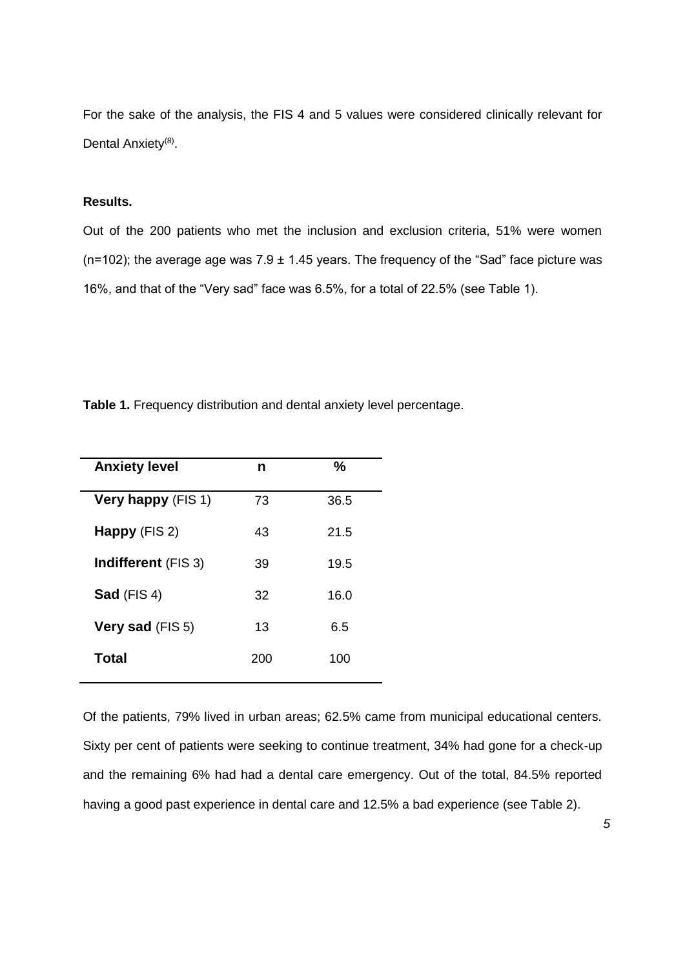For the sake of the analysis, the FIS 4 and 5 values were considered clinically relevant for Dental Anxiety<sup>(8)</sup>.

# **Results.**

Out of the 200 patients who met the inclusion and exclusion criteria, 51% were women ( $n=102$ ); the average age was 7.9  $\pm$  1.45 years. The frequency of the "Sad" face picture was 16%, and that of the "Very sad" face was 6.5%, for a total of 22.5% (see Table 1).

**Table 1.** Frequency distribution and dental anxiety level percentage.

| <b>Anxiety level</b>       | n   | $\%$ |
|----------------------------|-----|------|
| <b>Very happy (FIS 1)</b>  | 73  | 36.5 |
| Happy (FIS 2)              | 43  | 21.5 |
| <b>Indifferent</b> (FIS 3) | 39  | 19.5 |
| Sad (FIS 4)                | 32  | 16.0 |
| Very sad (FIS 5)           | 13  | 6.5  |
| Total                      | 200 | 100  |

Of the patients, 79% lived in urban areas; 62.5% came from municipal educational centers. Sixty per cent of patients were seeking to continue treatment, 34% had gone for a check-up and the remaining 6% had had a dental care emergency. Out of the total, 84.5% reported having a good past experience in dental care and 12.5% a bad experience (see Table 2).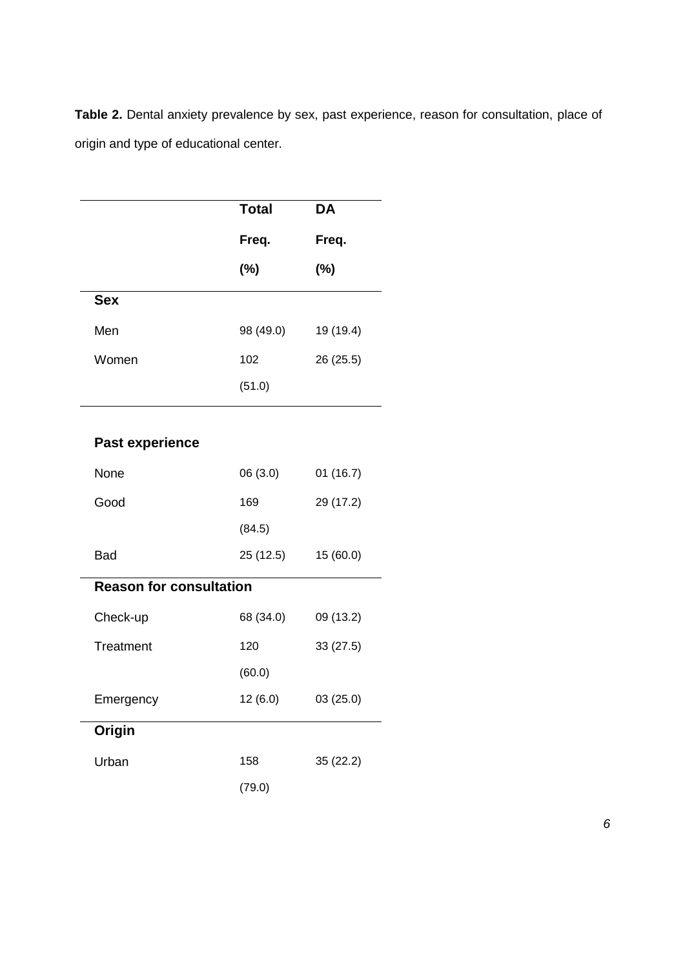**Table 2.** Dental anxiety prevalence by sex, past experience, reason for consultation, place of origin and type of educational center.

|                                | <b>Total</b> | <b>DA</b> |  |  |
|--------------------------------|--------------|-----------|--|--|
|                                | Freq.        | Freq.     |  |  |
|                                | $(\%)$       | $(\%)$    |  |  |
| <b>Sex</b>                     |              |           |  |  |
| Men                            | 98 (49.0)    | 19 (19.4) |  |  |
| Women                          | 102          | 26 (25.5) |  |  |
|                                | (51.0)       |           |  |  |
|                                |              |           |  |  |
| <b>Past experience</b>         |              |           |  |  |
| None                           | 06 (3.0)     | 01(16.7)  |  |  |
| Good                           | 169          | 29 (17.2) |  |  |
|                                | (84.5)       |           |  |  |
| <b>Bad</b>                     | 25(12.5)     | 15 (60.0) |  |  |
| <b>Reason for consultation</b> |              |           |  |  |
| Check-up                       | 68 (34.0)    | 09 (13.2) |  |  |
| Treatment                      | 120          | 33 (27.5) |  |  |
|                                | (60.0)       |           |  |  |
| Emergency                      | 12 (6.0)     | 03(25.0)  |  |  |
| Origin                         |              |           |  |  |
| Urban                          | 158          | 35 (22.2) |  |  |
|                                | (79.0)       |           |  |  |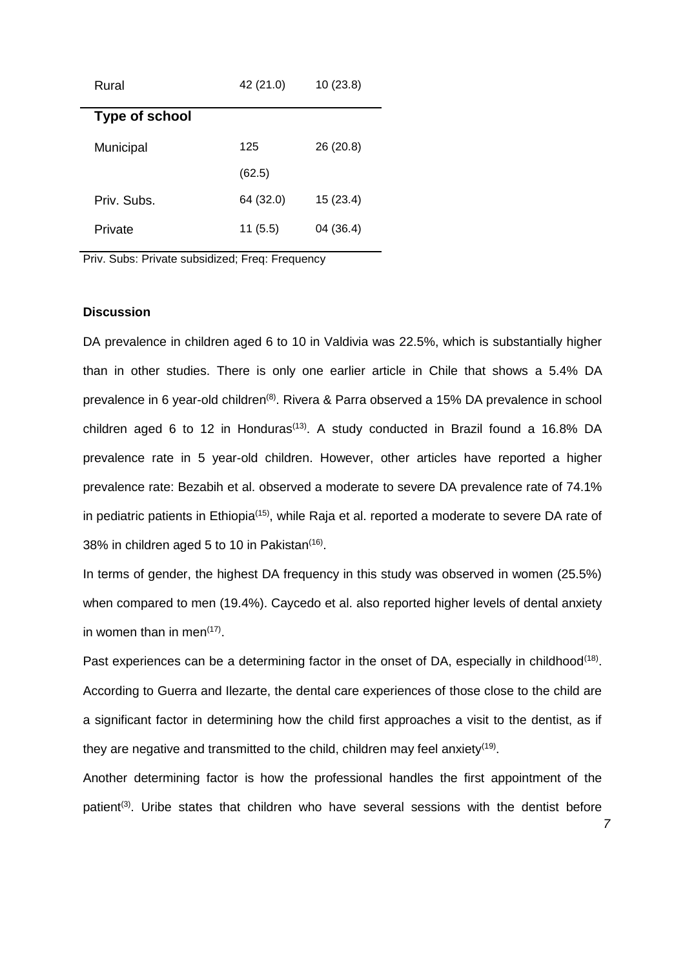| Rural                 | 42 (21.0) | 10(23.8)  |
|-----------------------|-----------|-----------|
| <b>Type of school</b> |           |           |
| Municipal             | 125       | 26 (20.8) |
|                       | (62.5)    |           |
| Priv. Subs.           | 64 (32.0) | 15(23.4)  |
| Private               | 11(5.5)   | 04 (36.4) |

Priv. Subs: Private subsidized; Freq: Frequency

### **Discussion**

DA prevalence in children aged 6 to 10 in Valdivia was 22.5%, which is substantially higher than in other studies. There is only one earlier article in Chile that shows a 5.4% DA prevalence in 6 year-old children<sup>(8)</sup>. Rivera & Parra observed a 15% DA prevalence in school children aged 6 to 12 in Honduras<sup>(13)</sup>. A study conducted in Brazil found a 16.8% DA prevalence rate in 5 year-old children. However, other articles have reported a higher prevalence rate: [Bezabih](http://www.ncbi.nlm.nih.gov/pubmed/?term=Bezabih%20S%5bAuthor%5d&cauthor=true&cauthor_uid=24079155) et al. observed a moderate to severe DA prevalence rate of 74.1% in pediatric patients in Ethiopia<sup>(15)</sup>, while [Raja](http://www.ncbi.nlm.nih.gov/pubmed/?term=Raja%20GH%5bAuthor%5d&cauthor=true&cauthor_uid=26721014) et al. reported a moderate to severe DA rate of 38% in children aged 5 to 10 in Pakistan<sup>(16)</sup>.

In terms of gender, the highest DA frequency in this study was observed in women (25.5%) when compared to men (19.4%). Caycedo et al. also reported higher levels of dental anxiety in women than in men<sup>(17)</sup>.

Past experiences can be a determining factor in the onset of DA, especially in childhood<sup>(18)</sup>. According to Guerra and Ilezarte, the dental care experiences of those close to the child are a significant factor in determining how the child first approaches a visit to the dentist, as if they are negative and transmitted to the child, children may feel anxiety<sup>(19)</sup>.

Another determining factor is how the professional handles the first appointment of the patient<sup>(3)</sup>. Uribe states that children who have several sessions with the dentist before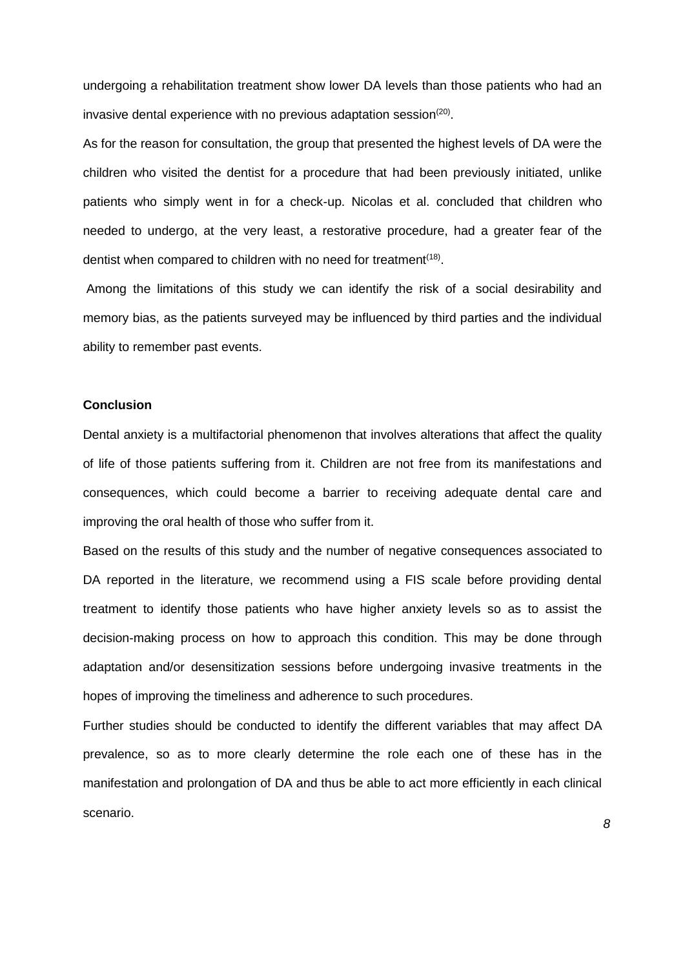undergoing a rehabilitation treatment show lower DA levels than those patients who had an invasive dental experience with no previous adaptation session $^{(20)}$ .

As for the reason for consultation, the group that presented the highest levels of DA were the children who visited the dentist for a procedure that had been previously initiated, unlike patients who simply went in for a check-up. Nicolas et al. concluded that children who needed to undergo, at the very least, a restorative procedure, had a greater fear of the dentist when compared to children with no need for treatment<sup>(18)</sup>.

Among the limitations of this study we can identify the risk of a social desirability and memory bias, as the patients surveyed may be influenced by third parties and the individual ability to remember past events.

## **Conclusion**

Dental anxiety is a multifactorial phenomenon that involves alterations that affect the quality of life of those patients suffering from it. Children are not free from its manifestations and consequences, which could become a barrier to receiving adequate dental care and improving the oral health of those who suffer from it.

Based on the results of this study and the number of negative consequences associated to DA reported in the literature, we recommend using a FIS scale before providing dental treatment to identify those patients who have higher anxiety levels so as to assist the decision-making process on how to approach this condition. This may be done through adaptation and/or desensitization sessions before undergoing invasive treatments in the hopes of improving the timeliness and adherence to such procedures.

Further studies should be conducted to identify the different variables that may affect DA prevalence, so as to more clearly determine the role each one of these has in the manifestation and prolongation of DA and thus be able to act more efficiently in each clinical scenario.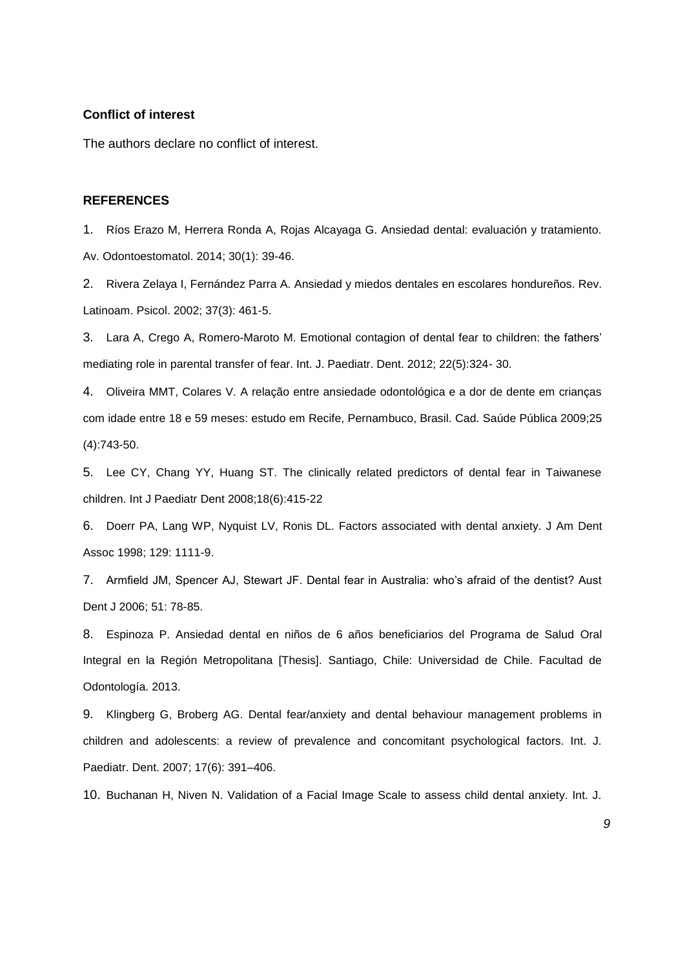### **Conflict of interest**

The authors declare no conflict of interest.

### **REFERENCES**

1. Ríos Erazo M, Herrera Ronda A, Rojas Alcayaga G. Ansiedad dental: evaluación y tratamiento. Av. Odontoestomatol. 2014; 30(1): 39-46.

2. Rivera Zelaya I, Fernández Parra A. Ansiedad y miedos dentales en escolares hondureños. Rev. Latinoam. Psicol. 2002; 37(3): 461-5.

3. Lara [A,](http://www.ncbi.nlm.nih.gov/pubmed/?term=Crego%20A%5bAuthor%5d&cauthor=true&cauthor_uid=22092785) [Crego A,](http://www.ncbi.nlm.nih.gov/pubmed/?term=Crego%20A%5bAuthor%5d&cauthor=true&cauthor_uid=22092785) [Romero-Maroto M.](http://www.ncbi.nlm.nih.gov/pubmed/?term=Romero-Maroto%20M%5bAuthor%5d&cauthor=true&cauthor_uid=22092785) Emotional contagion of dental fear to children: the fathers' mediating role in parental transfer of fear. Int. J. Paediatr. Dent. 2012; 22(5):324- 30.

4. Oliveira MMT, Colares V. A relação entre ansiedade odontológica e a dor de dente em crianças com idade entre 18 e 59 meses: estudo em Recife, Pernambuco, Brasil. Cad. Saúde Pública 2009;25 (4):743-50.

5. Lee CY, Chang YY, Huang ST. The clinically related predictors of dental fear in Taiwanese children. Int J Paediatr Dent 2008;18(6):415-22

6. Doerr PA, Lang WP, Nyquist LV, Ronis DL. Factors associated with dental anxiety. J Am Dent Assoc 1998; 129: 1111-9.

7. Armfield JM, Spencer AJ, Stewart JF. Dental fear in Australia: who's afraid of the dentist? Aust Dent J 2006; 51: 78-85.

8. Espinoza P. Ansiedad dental en niños de 6 años beneficiarios del Programa de Salud Oral Integral en la Región Metropolitana [Thesis]. Santiago, Chile: Universidad de Chile. Facultad de Odontología. 2013.

9. Klingberg G, Broberg AG. Dental fear/anxiety and dental behaviour management problems in children and adolescents: a review of prevalence and concomitant psychological factors. Int. J. Paediatr. Dent. 2007; 17(6): 391–406.

10. Buchanan H, Niven N. Validation of a Facial Image Scale to assess child dental anxiety. Int. J.